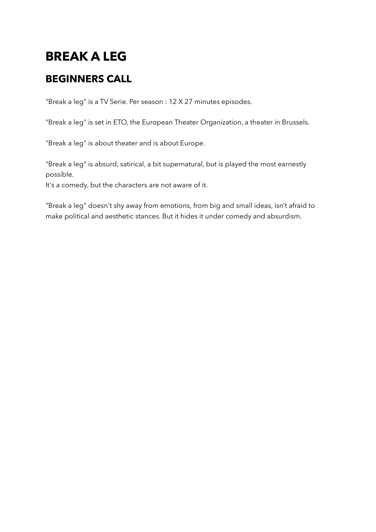# **BREAK A LEG**

### **BEGINNERS CALL**

"Break a leg" is a TV Serie. Per season : 12 X 27 minutes episodes.

"Break a leg" is set in ETO, the European Theater Organization, a theater in Brussels.

"Break a leg" is about theater and is about Europe.

"Break a leg" is absurd, satirical, a bit supernatural, but is played the most earnestly possible.

It's a comedy, but the characters are not aware of it.

"Break a leg" doesn't shy away from emotions, from big and small ideas, isn't afraid to make political and aesthetic stances. But it hides it under comedy and absurdism.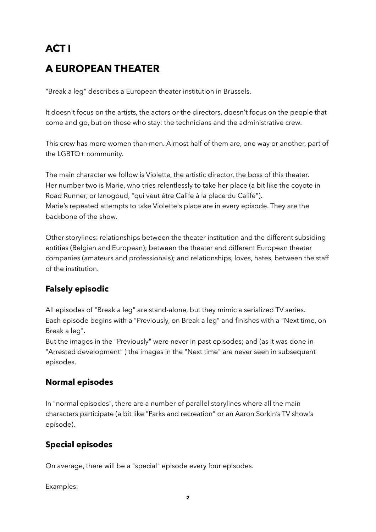# **ACT I A EUROPEAN THEATER**

"Break a leg" describes a European theater institution in Brussels.

It doesn't focus on the artists, the actors or the directors, doesn't focus on the people that come and go, but on those who stay: the technicians and the administrative crew.

This crew has more women than men. Almost half of them are, one way or another, part of the LGBTQ+ community.

The main character we follow is Violette, the artistic director, the boss of this theater. Her number two is Marie, who tries relentlessly to take her place (a bit like the coyote in Road Runner, or Iznogoud, "qui veut être Calife à la place du Calife"). Marie's repeated attempts to take Violette's place are in every episode. They are the backbone of the show.

Other storylines: relationships between the theater institution and the different subsiding entities (Belgian and European); between the theater and different European theater companies (amateurs and professionals); and relationships, loves, hates, between the staff of the institution.

#### **Falsely episodic**

All episodes of "Break a leg" are stand-alone, but they mimic a serialized TV series. Each episode begins with a "Previously, on Break a leg" and finishes with a "Next time, on Break a leg".

But the images in the "Previously" were never in past episodes; and (as it was done in "Arrested development" ) the images in the "Next time" are never seen in subsequent episodes.

#### **Normal episodes**

In "normal episodes", there are a number of parallel storylines where all the main characters participate (a bit like "Parks and recreation" or an Aaron Sorkin's TV show's episode).

#### **Special episodes**

On average, there will be a "special" episode every four episodes.

Examples: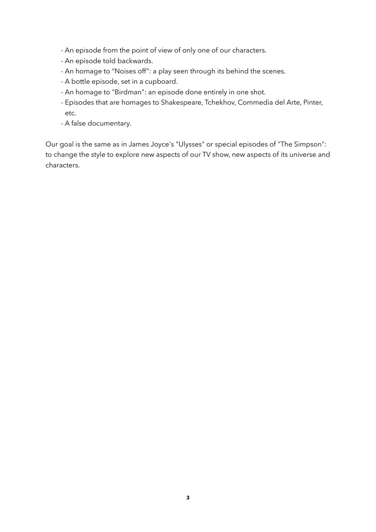- An episode from the point of view of only one of our characters.
- An episode told backwards.
- An homage to "Noises off": a play seen through its behind the scenes.
- A bottle episode, set in a cupboard.
- An homage to "Birdman": an episode done entirely in one shot.
- Episodes that are homages to Shakespeare, Tchekhov, Commedia del Arte, Pinter, etc.
- A false documentary.

Our goal is the same as in James Joyce's "Ulysses" or special episodes of "The Simpson": to change the style to explore new aspects of our TV show, new aspects of its universe and characters.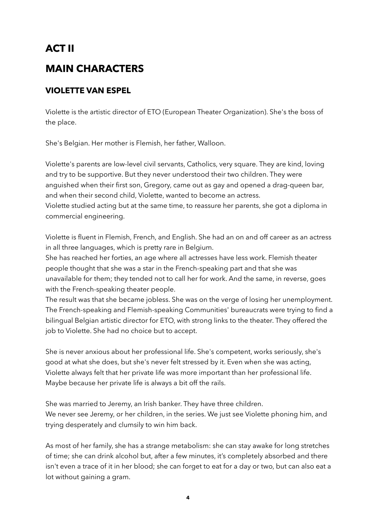### **ACT II**

### **MAIN CHARACTERS**

#### **VIOLETTE VAN ESPEL**

Violette is the artistic director of ETO (European Theater Organization). She's the boss of the place.

She's Belgian. Her mother is Flemish, her father, Walloon.

Violette's parents are low-level civil servants, Catholics, very square. They are kind, loving and try to be supportive. But they never understood their two children. They were anguished when their first son, Gregory, came out as gay and opened a drag-queen bar, and when their second child, Violette, wanted to become an actress. Violette studied acting but at the same time, to reassure her parents, she got a diploma in commercial engineering.

Violette is fluent in Flemish, French, and English. She had an on and off career as an actress in all three languages, which is pretty rare in Belgium.

She has reached her forties, an age where all actresses have less work. Flemish theater people thought that she was a star in the French-speaking part and that she was unavailable for them; they tended not to call her for work. And the same, in reverse, goes with the French-speaking theater people.

The result was that she became jobless. She was on the verge of losing her unemployment. The French-speaking and Flemish-speaking Communities' bureaucrats were trying to find a bilingual Belgian artistic director for ETO, with strong links to the theater. They offered the job to Violette. She had no choice but to accept.

She is never anxious about her professional life. She's competent, works seriously, she's good at what she does, but she's never felt stressed by it. Even when she was acting, Violette always felt that her private life was more important than her professional life. Maybe because her private life is always a bit off the rails.

She was married to Jeremy, an Irish banker. They have three children. We never see Jeremy, or her children, in the series. We just see Violette phoning him, and trying desperately and clumsily to win him back.

As most of her family, she has a strange metabolism: she can stay awake for long stretches of time; she can drink alcohol but, after a few minutes, it's completely absorbed and there isn't even a trace of it in her blood; she can forget to eat for a day or two, but can also eat a lot without gaining a gram.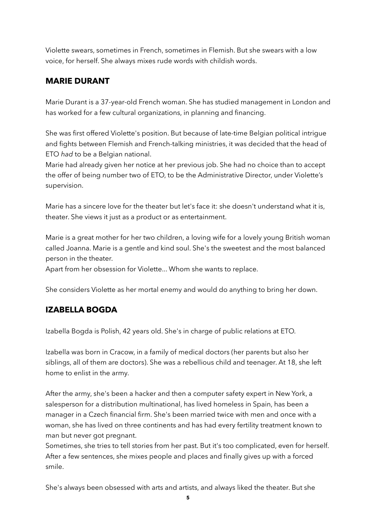Violette swears, sometimes in French, sometimes in Flemish. But she swears with a low voice, for herself. She always mixes rude words with childish words.

#### **MARIE DURANT**

Marie Durant is a 37-year-old French woman. She has studied management in London and has worked for a few cultural organizations, in planning and financing.

She was first offered Violette's position. But because of late-time Belgian political intrigue and fights between Flemish and French-talking ministries, it was decided that the head of ETO *had* to be a Belgian national.

Marie had already given her notice at her previous job. She had no choice than to accept the offer of being number two of ETO, to be the Administrative Director, under Violette's supervision.

Marie has a sincere love for the theater but let's face it: she doesn't understand what it is, theater. She views it just as a product or as entertainment.

Marie is a great mother for her two children, a loving wife for a lovely young British woman called Joanna. Marie is a gentle and kind soul. She's the sweetest and the most balanced person in the theater.

Apart from her obsession for Violette... Whom she wants to replace.

She considers Violette as her mortal enemy and would do anything to bring her down.

#### **IZABELLA BOGDA**

Izabella Bogda is Polish, 42 years old. She's in charge of public relations at ETO.

Izabella was born in Cracow, in a family of medical doctors (her parents but also her siblings, all of them are doctors). She was a rebellious child and teenager. At 18, she left home to enlist in the army.

After the army, she's been a hacker and then a computer safety expert in New York, a salesperson for a distribution multinational, has lived homeless in Spain, has been a manager in a Czech financial firm. She's been married twice with men and once with a woman, she has lived on three continents and has had every fertility treatment known to man but never got pregnant.

Sometimes, she tries to tell stories from her past. But it's too complicated, even for herself. After a few sentences, she mixes people and places and finally gives up with a forced smile.

She's always been obsessed with arts and artists, and always liked the theater. But she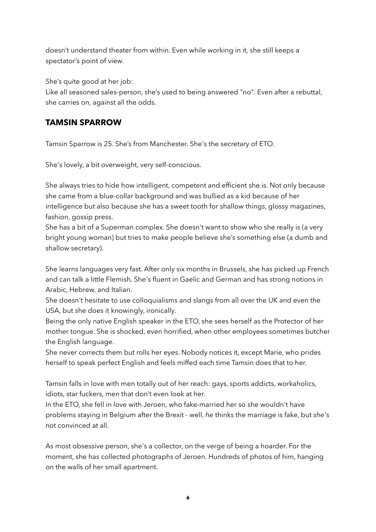doesn't understand theater from within. Even while working in it, she still keeps a spectator's point of view.

She's quite good at her job:

Like all seasoned sales-person, she's used to being answered "no". Even after a rebuttal, she carries on, against all the odds.

#### **TAMSIN SPARROW**

Tamsin Sparrow is 25. She's from Manchester. She's the secretary of ETO.

She's lovely, a bit overweight, very self-conscious.

She always tries to hide how intelligent, competent and efficient she is. Not only because she came from a blue-collar background and was bullied as a kid because of her intelligence but also because she has a sweet tooth for shallow things, glossy magazines, fashion, gossip press.

She has a bit of a Superman complex. She doesn't want to show who she really is (a very bright young woman) but tries to make people believe she's something else (a dumb and shallow secretary).

She learns languages very fast. After only six months in Brussels, she has picked up French and can talk a little Flemish. She's fluent in Gaelic and German and has strong notions in Arabic, Hebrew, and Italian.

She doesn't hesitate to use colloquialisms and slangs from all over the UK and even the USA, but she does it knowingly, ironically.

Being the only native English speaker in the ETO, she sees herself as the Protector of her mother tongue. She is shocked, even horrified, when other employees sometimes butcher the English language.

She never corrects them but rolls her eyes. Nobody notices it, except Marie, who prides herself to speak perfect English and feels miffed each time Tamsin does that to her.

Tamsin falls in love with men totally out of her reach: gays, sports addicts, workaholics, idiots, star fuckers, men that don't even look at her.

In the ETO, she fell in love with Jeroen, who fake-married her so she wouldn't have problems staying in Belgium after the Brexit - well, *he* thinks the marriage is fake, but *she*'s not convinced at all.

As most obsessive person, she's a collector, on the verge of being a hoarder. For the moment, she has collected photographs of Jeroen. Hundreds of photos of him, hanging on the walls of her small apartment.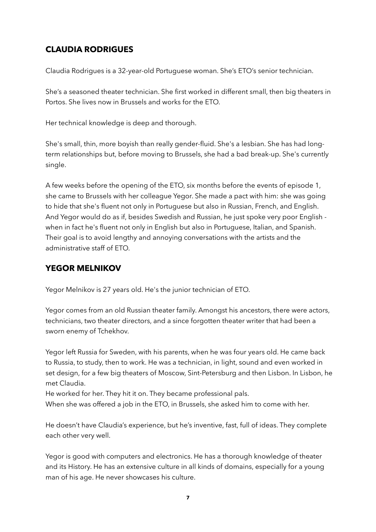#### **CLAUDIA RODRIGUES**

Claudia Rodrigues is a 32-year-old Portuguese woman. She's ETO's senior technician.

She's a seasoned theater technician. She first worked in different small, then big theaters in Portos. She lives now in Brussels and works for the ETO.

Her technical knowledge is deep and thorough.

She's small, thin, more boyish than really gender-fluid. She's a lesbian. She has had longterm relationships but, before moving to Brussels, she had a bad break-up. She's currently single.

A few weeks before the opening of the ETO, six months before the events of episode 1, she came to Brussels with her colleague Yegor. She made a pact with him: she was going to hide that she's fluent not only in Portuguese but also in Russian, French, and English. And Yegor would do as if, besides Swedish and Russian, he just spoke very poor English when in fact he's fluent not only in English but also in Portuguese, Italian, and Spanish. Their goal is to avoid lengthy and annoying conversations with the artists and the administrative staff of ETO.

#### **YEGOR MELNIKOV**

Yegor Melnikov is 27 years old. He's the junior technician of ETO.

Yegor comes from an old Russian theater family. Amongst his ancestors, there were actors, technicians, two theater directors, and a since forgotten theater writer that had been a sworn enemy of Tchekhov.

Yegor left Russia for Sweden, with his parents, when he was four years old. He came back to Russia, to study, then to work. He was a technician, in light, sound and even worked in set design, for a few big theaters of Moscow, Sint-Petersburg and then Lisbon. In Lisbon, he met Claudia.

He worked for her. They hit it on. They became professional pals.

When she was offered a job in the ETO, in Brussels, she asked him to come with her.

He doesn't have Claudia's experience, but he's inventive, fast, full of ideas. They complete each other very well.

Yegor is good with computers and electronics. He has a thorough knowledge of theater and its History. He has an extensive culture in all kinds of domains, especially for a young man of his age. He never showcases his culture.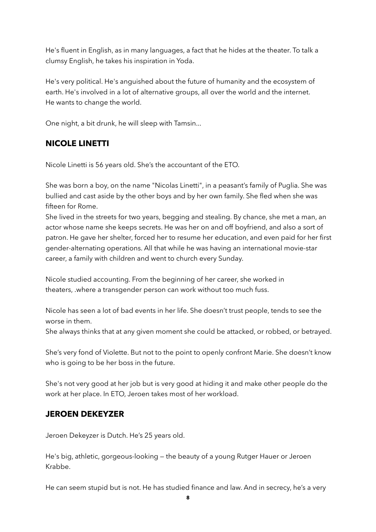He's fluent in English, as in many languages, a fact that he hides at the theater. To talk a clumsy English, he takes his inspiration in Yoda.

He's very political. He's anguished about the future of humanity and the ecosystem of earth. He's involved in a lot of alternative groups, all over the world and the internet. He wants to change the world.

One night, a bit drunk, he will sleep with Tamsin...

#### **NICOLE LINETTI**

Nicole Linetti is 56 years old. She's the accountant of the ETO.

She was born a boy, on the name "Nicolas Linetti", in a peasant's family of Puglia. She was bullied and cast aside by the other boys and by her own family. She fled when she was fifteen for Rome.

She lived in the streets for two years, begging and stealing. By chance, she met a man, an actor whose name she keeps secrets. He was her on and off boyfriend, and also a sort of patron. He gave her shelter, forced her to resume her education, and even paid for her first gender-alternating operations. All that while he was having an international movie-star career, a family with children and went to church every Sunday.

Nicole studied accounting. From the beginning of her career, she worked in theaters, .where a transgender person can work without too much fuss.

Nicole has seen a lot of bad events in her life. She doesn't trust people, tends to see the worse in them.

She always thinks that at any given moment she could be attacked, or robbed, or betrayed.

She's very fond of Violette. But not to the point to openly confront Marie. She doesn't know who is going to be her boss in the future.

She's not very good at her job but is very good at hiding it and make other people do the work at her place. In ETO, Jeroen takes most of her workload.

#### **JEROEN DEKEYZER**

Jeroen Dekeyzer is Dutch. He's 25 years old.

He's big, athletic, gorgeous-looking — the beauty of a young Rutger Hauer or Jeroen Krabbe.

He can seem stupid but is not. He has studied finance and law. And in secrecy, he's a very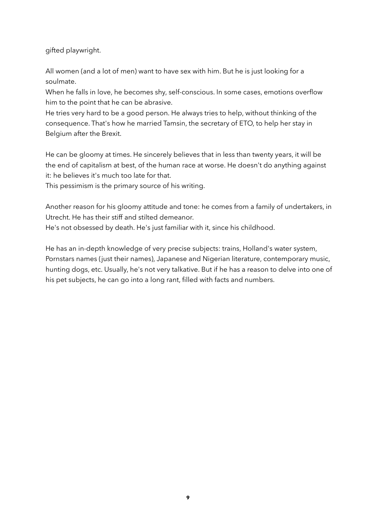gifted playwright.

All women (and a lot of men) want to have sex with him. But he is just looking for a soulmate.

When he falls in love, he becomes shy, self-conscious. In some cases, emotions overflow him to the point that he can be abrasive.

He tries very hard to be a good person. He always tries to help, without thinking of the consequence. That's how he married Tamsin, the secretary of ETO, to help her stay in Belgium after the Brexit.

He can be gloomy at times. He sincerely believes that in less than twenty years, it will be the end of capitalism at best, of the human race at worse. He doesn't do anything against it: he believes it's much too late for that.

This pessimism is the primary source of his writing.

Another reason for his gloomy attitude and tone: he comes from a family of undertakers, in Utrecht. He has their stiff and stilted demeanor.

He's not obsessed by death. He's just familiar with it, since his childhood.

He has an in-depth knowledge of very precise subjects: trains, Holland's water system, Pornstars names (just their names), Japanese and Nigerian literature, contemporary music, hunting dogs, etc. Usually, he's not very talkative. But if he has a reason to delve into one of his pet subjects, he can go into a long rant, filled with facts and numbers.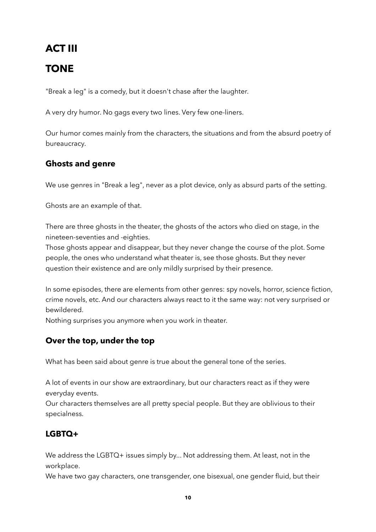### **ACT III**

### **TONE**

"Break a leg" is a comedy, but it doesn't chase after the laughter.

A very dry humor. No gags every two lines. Very few one-liners.

Our humor comes mainly from the characters, the situations and from the absurd poetry of bureaucracy.

#### **Ghosts and genre**

We use genres in "Break a leg", never as a plot device, only as absurd parts of the setting.

Ghosts are an example of that.

There are three ghosts in the theater, the ghosts of the actors who died on stage, in the nineteen-seventies and -eighties.

Those ghosts appear and disappear, but they never change the course of the plot. Some people, the ones who understand what theater is, see those ghosts. But they never question their existence and are only mildly surprised by their presence.

In some episodes, there are elements from other genres: spy novels, horror, science fiction, crime novels, etc. And our characters always react to it the same way: not very surprised or bewildered.

Nothing surprises you anymore when you work in theater.

#### **Over the top, under the top**

What has been said about genre is true about the general tone of the series.

A lot of events in our show are extraordinary, but our characters react as if they were everyday events.

Our characters themselves are all pretty special people. But they are oblivious to their specialness.

#### **LGBTQ+**

We address the LGBTQ+ issues simply by... Not addressing them. At least, not in the workplace.

We have two gay characters, one transgender, one bisexual, one gender fluid, but their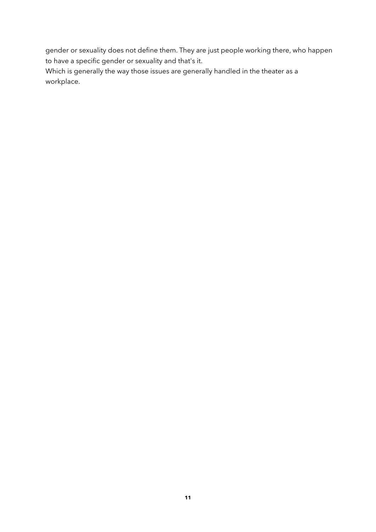gender or sexuality does not define them. They are just people working there, who happen to have a specific gender or sexuality and that's it.

Which is generally the way those issues are generally handled in the theater as a workplace.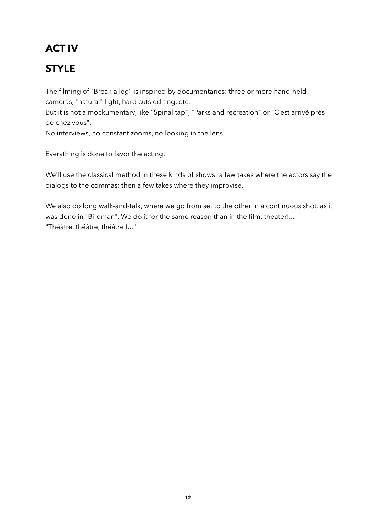# **ACT IV**

## **STYLE**

The filming of "Break a leg" is inspired by documentaries: three or more hand-held cameras, "natural" light, hard cuts editing, etc.

But it is not a mockumentary, like "Spinal tap", "Parks and recreation" or "C'est arrivé près de chez vous".

No interviews, no constant zooms, no looking in the lens.

Everything is done to favor the acting.

We'll use the classical method in these kinds of shows: a few takes where the actors say the dialogs to the commas; then a few takes where they improvise.

We also do long walk-and-talk, where we go from set to the other in a continuous shot, as it was done in "Birdman". We do it for the same reason than in the film: theater!... "Théâtre, théâtre, théâtre !..."